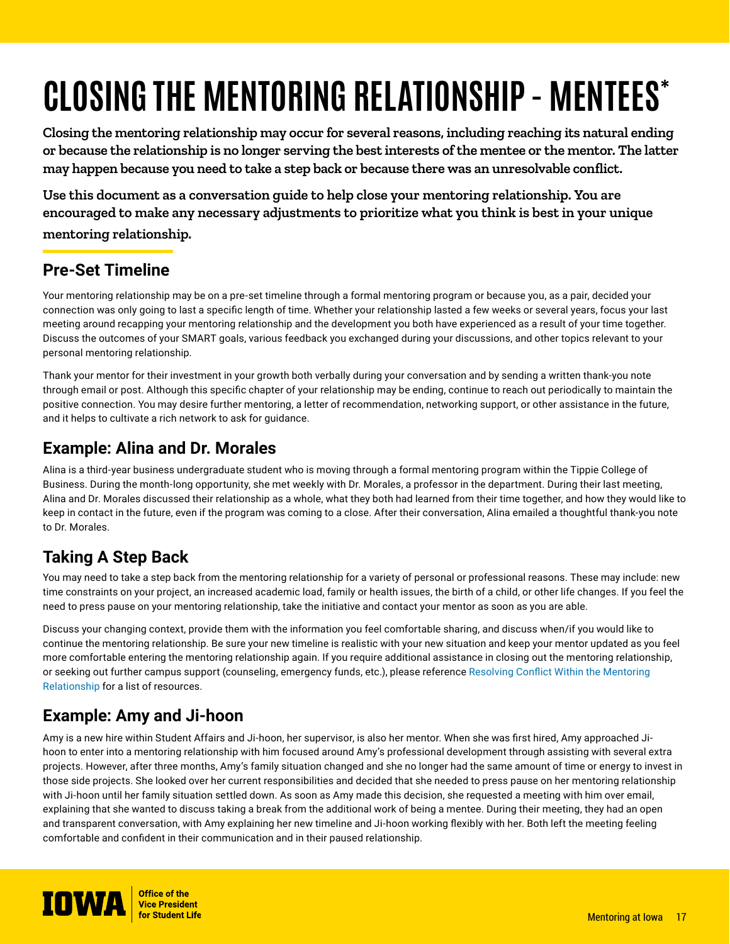# **CLOSING THE MENTORING RELATIONSHIP - MENTEES\***

**Closing the mentoring relationship may occur for several reasons, including reaching its natural ending or because the relationship is no longer serving the best interests of the mentee or the mentor. The latter may happen because you need to take a step back or because there was an unresolvable conflict.** 

**Use this document as a conversation guide to help close your mentoring relationship. You are encouraged to make any necessary adjustments to prioritize what you think is best in your unique mentoring relationship.** 

# **Pre-Set Timeline**

Your mentoring relationship may be on a pre-set timeline through a formal mentoring program or because you, as a pair, decided your connection was only going to last a specific length of time. Whether your relationship lasted a few weeks or several years, focus your last meeting around recapping your mentoring relationship and the development you both have experienced as a result of your time together. Discuss the outcomes of your SMART goals, various feedback you exchanged during your discussions, and other topics relevant to your personal mentoring relationship.

Thank your mentor for their investment in your growth both verbally during your conversation and by sending a written thank-you note through email or post. Although this specific chapter of your relationship may be ending, continue to reach out periodically to maintain the positive connection. You may desire further mentoring, a letter of recommendation, networking support, or other assistance in the future, and it helps to cultivate a rich network to ask for guidance.

#### **Example: Alina and Dr. Morales**

Alina is a third-year business undergraduate student who is moving through a formal mentoring program within the Tippie College of Business. During the month-long opportunity, she met weekly with Dr. Morales, a professor in the department. During their last meeting, Alina and Dr. Morales discussed their relationship as a whole, what they both had learned from their time together, and how they would like to keep in contact in the future, even if the program was coming to a close. After their conversation, Alina emailed a thoughtful thank-you note to Dr. Morales.

## **Taking A Step Back**

You may need to take a step back from the mentoring relationship for a variety of personal or professional reasons. These may include: new time constraints on your project, an increased academic load, family or health issues, the birth of a child, or other life changes. If you feel the need to press pause on your mentoring relationship, take the initiative and contact your mentor as soon as you are able.

Discuss your changing context, provide them with the information you feel comfortable sharing, and discuss when/if you would like to continue the mentoring relationship. Be sure your new timeline is realistic with your new situation and keep your mentor updated as you feel more comfortable entering the mentoring relationship again. If you require additional assistance in closing out the mentoring relationship, or seeking out further campus support (counseling, emergency funds, etc.), please reference [Resolving Conflict Within the Mentoring](https://mentor.uiowa.edu/sites/mentor.uiowa.edu/files/2021-11/Resolving%20Conflict%20Within%20the%20Mentoring%20Relationship.pdf)  [Relationship](https://mentor.uiowa.edu/sites/mentor.uiowa.edu/files/2021-11/Resolving%20Conflict%20Within%20the%20Mentoring%20Relationship.pdf) for a list of resources.

## **Example: Amy and Ji-hoon**

Amy is a new hire within Student Affairs and Ji-hoon, her supervisor, is also her mentor. When she was first hired, Amy approached Jihoon to enter into a mentoring relationship with him focused around Amy's professional development through assisting with several extra projects. However, after three months, Amy's family situation changed and she no longer had the same amount of time or energy to invest in those side projects. She looked over her current responsibilities and decided that she needed to press pause on her mentoring relationship with Ji-hoon until her family situation settled down. As soon as Amy made this decision, she requested a meeting with him over email, explaining that she wanted to discuss taking a break from the additional work of being a mentee. During their meeting, they had an open and transparent conversation, with Amy explaining her new timeline and Ji-hoon working flexibly with her. Both left the meeting feeling comfortable and confident in their communication and in their paused relationship.